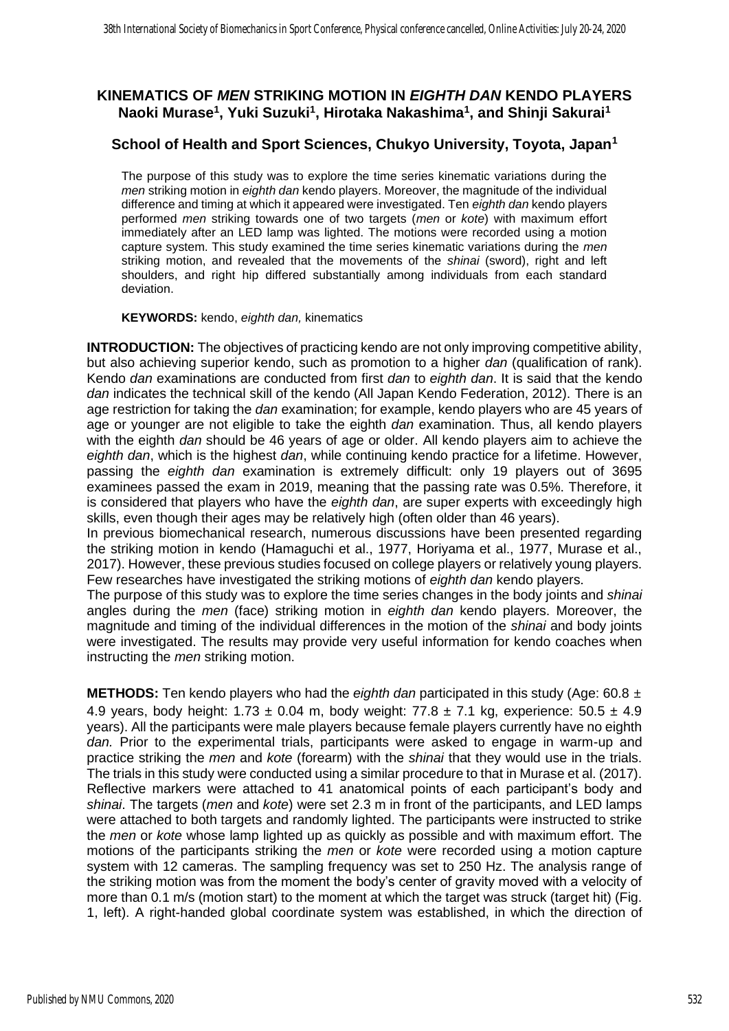## **KINEMATICS OF** *MEN* **STRIKING MOTION IN** *EIGHTH DAN* **KENDO PLAYERS Naoki Murase<sup>1</sup> , Yuki Suzuki<sup>1</sup> , Hirotaka Nakashima<sup>1</sup> , and Shinji Sakurai<sup>1</sup>**

## **School of Health and Sport Sciences, Chukyo University, Toyota, Japan<sup>1</sup>**

The purpose of this study was to explore the time series kinematic variations during the *men* striking motion in *eighth dan* kendo players. Moreover, the magnitude of the individual difference and timing at which it appeared were investigated. Ten *eighth dan* kendo players performed *men* striking towards one of two targets (*men* or *kote*) with maximum effort immediately after an LED lamp was lighted. The motions were recorded using a motion capture system. This study examined the time series kinematic variations during the *men* striking motion, and revealed that the movements of the *shinai* (sword), right and left shoulders, and right hip differed substantially among individuals from each standard deviation.

## **KEYWORDS:** kendo, *eighth dan,* kinematics

**INTRODUCTION:** The objectives of practicing kendo are not only improving competitive ability, but also achieving superior kendo, such as promotion to a higher *dan* (qualification of rank). Kendo *dan* examinations are conducted from first *dan* to *eighth dan*. It is said that the kendo *dan* indicates the technical skill of the kendo (All Japan Kendo Federation, 2012). There is an age restriction for taking the *dan* examination; for example, kendo players who are 45 years of age or younger are not eligible to take the eighth *dan* examination. Thus, all kendo players with the eighth *dan* should be 46 years of age or older. All kendo players aim to achieve the *eighth dan*, which is the highest *dan*, while continuing kendo practice for a lifetime. However, passing the *eighth dan* examination is extremely difficult: only 19 players out of 3695 examinees passed the exam in 2019, meaning that the passing rate was 0.5%. Therefore, it is considered that players who have the *eighth dan*, are super experts with exceedingly high skills, even though their ages may be relatively high (often older than 46 years).

In previous biomechanical research, numerous discussions have been presented regarding the striking motion in kendo (Hamaguchi et al., 1977, Horiyama et al., 1977, Murase et al., 2017). However, these previous studies focused on college players or relatively young players. Few researches have investigated the striking motions of *eighth dan* kendo players.

The purpose of this study was to explore the time series changes in the body joints and *shinai* angles during the *men* (face) striking motion in *eighth dan* kendo players. Moreover, the magnitude and timing of the individual differences in the motion of the *shinai* and body joints were investigated. The results may provide very useful information for kendo coaches when instructing the *men* striking motion.

**METHODS:** Ten kendo players who had the *eighth dan* participated in this study (Age: 60.8 ± 4.9 years, body height: 1.73  $\pm$  0.04 m, body weight: 77.8  $\pm$  7.1 kg, experience: 50.5  $\pm$  4.9 years). All the participants were male players because female players currently have no eighth *dan.* Prior to the experimental trials, participants were asked to engage in warm-up and practice striking the *men* and *kote* (forearm) with the *shinai* that they would use in the trials. The trials in this study were conducted using a similar procedure to that in Murase et al. (2017). Reflective markers were attached to 41 anatomical points of each participant's body and *shinai*. The targets (*men* and *kote*) were set 2.3 m in front of the participants, and LED lamps were attached to both targets and randomly lighted. The participants were instructed to strike the *men* or *kote* whose lamp lighted up as quickly as possible and with maximum effort. The motions of the participants striking the *men* or *kote* were recorded using a motion capture system with 12 cameras. The sampling frequency was set to 250 Hz. The analysis range of the striking motion was from the moment the body's center of gravity moved with a velocity of more than 0.1 m/s (motion start) to the moment at which the target was struck (target hit) (Fig. 1, left). A right-handed global coordinate system was established, in which the direction of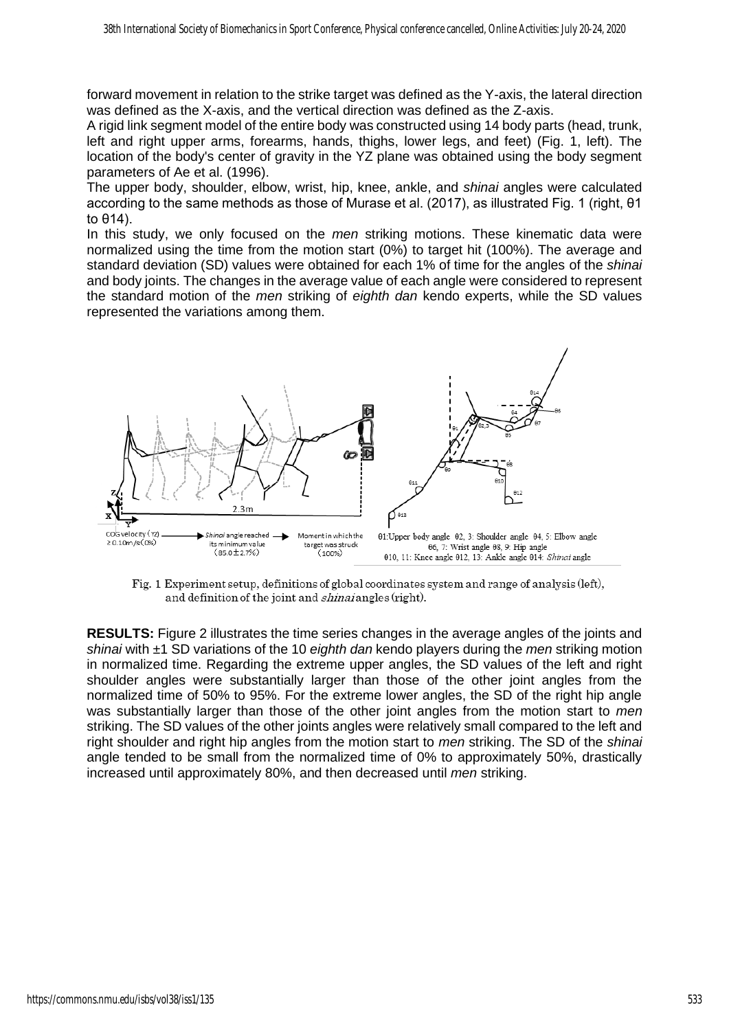forward movement in relation to the strike target was defined as the Y-axis, the lateral direction was defined as the X-axis, and the vertical direction was defined as the Z-axis.

A rigid link segment model of the entire body was constructed using 14 body parts (head, trunk, left and right upper arms, forearms, hands, thighs, lower legs, and feet) (Fig. 1, left). The location of the body's center of gravity in the YZ plane was obtained using the body segment parameters of Ae et al. (1996).

The upper body, shoulder, elbow, wrist, hip, knee, ankle, and *shinai* angles were calculated according to the same methods as those of Murase et al. (2017), as illustrated Fig. 1 (right, θ1 to θ14).

In this study, we only focused on the *men* striking motions. These kinematic data were normalized using the time from the motion start (0%) to target hit (100%). The average and standard deviation (SD) values were obtained for each 1% of time for the angles of the *shinai* and body joints. The changes in the average value of each angle were considered to represent the standard motion of the *men* striking of *eighth dan* kendo experts, while the SD values represented the variations among them.



Fig. 1 Experiment setup, definitions of global coordinates system and range of analysis (left). and definition of the joint and *shinai* angles (right).

**RESULTS:** Figure 2 illustrates the time series changes in the average angles of the joints and *shinai* with ±1 SD variations of the 10 *eighth dan* kendo players during the *men* striking motion in normalized time. Regarding the extreme upper angles, the SD values of the left and right shoulder angles were substantially larger than those of the other joint angles from the normalized time of 50% to 95%. For the extreme lower angles, the SD of the right hip angle was substantially larger than those of the other joint angles from the motion start to *men* striking. The SD values of the other joints angles were relatively small compared to the left and right shoulder and right hip angles from the motion start to *men* striking. The SD of the *shinai* angle tended to be small from the normalized time of 0% to approximately 50%, drastically increased until approximately 80%, and then decreased until *men* striking.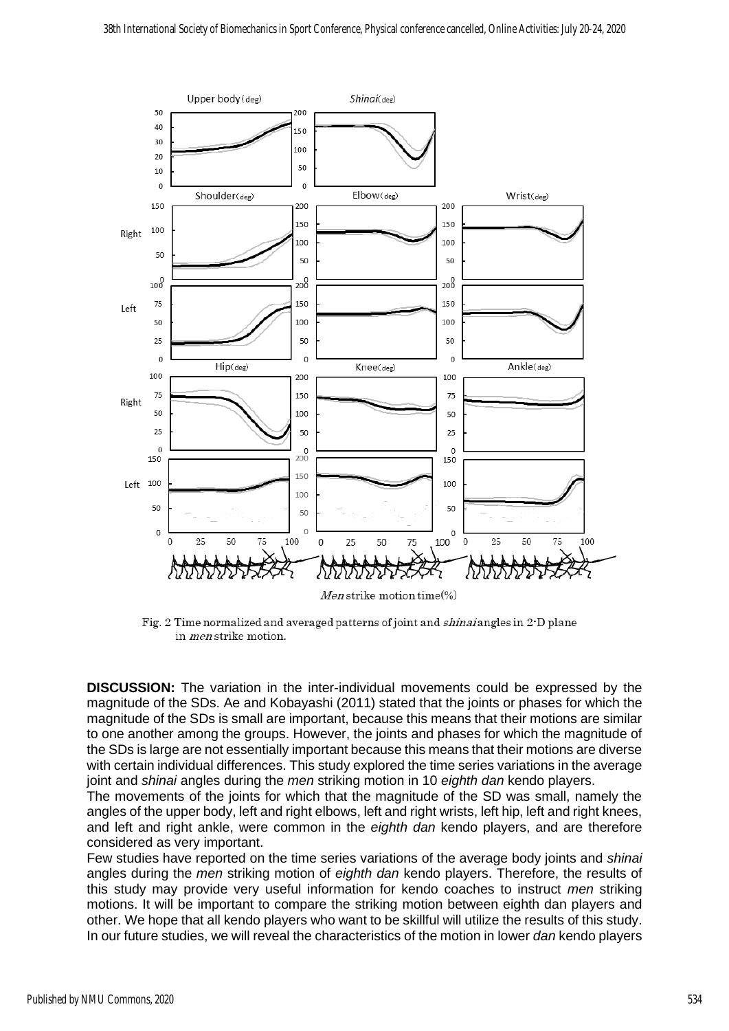

Fig. 2 Time normalized and averaged patterns of joint and *shinai* angles in 2<sup>-</sup>D plane in men strike motion.

**DISCUSSION:** The variation in the inter-individual movements could be expressed by the magnitude of the SDs. Ae and Kobayashi (2011) stated that the joints or phases for which the magnitude of the SDs is small are important, because this means that their motions are similar to one another among the groups. However, the joints and phases for which the magnitude of the SDs is large are not essentially important because this means that their motions are diverse with certain individual differences. This study explored the time series variations in the average joint and *shinai* angles during the *men* striking motion in 10 *eighth dan* kendo players.

The movements of the joints for which that the magnitude of the SD was small, namely the angles of the upper body, left and right elbows, left and right wrists, left hip, left and right knees, and left and right ankle, were common in the *eighth dan* kendo players, and are therefore considered as very important.

Few studies have reported on the time series variations of the average body joints and *shinai* angles during the *men* striking motion of *eighth dan* kendo players. Therefore, the results of this study may provide very useful information for kendo coaches to instruct *men* striking motions. It will be important to compare the striking motion between eighth dan players and other. We hope that all kendo players who want to be skillful will utilize the results of this study. In our future studies, we will reveal the characteristics of the motion in lower *dan* kendo players